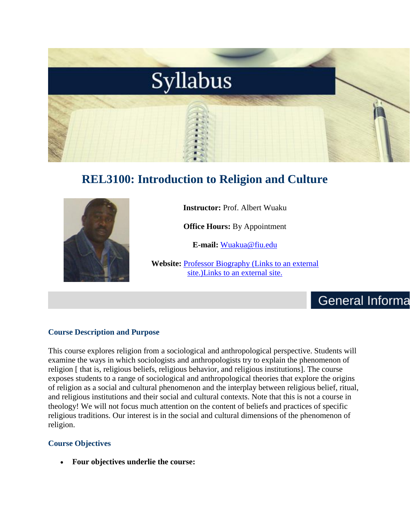

# **REL3100: Introduction to Religion and Culture**



**Instructor:** Prof. Albert Wuaku

**Office Hours:** By Appointment

**E-mail:** [Wuakua@fiu.edu](mailto:Wuakua@fiu.edu)

**Website:** Professor Biography [\(Links to an external](https://religion.fiu.edu/faculty/full-time-faculty/albert-wuaku/)  [site.\)Links to an external site.](https://religion.fiu.edu/faculty/full-time-faculty/albert-wuaku/)

# **General Informa**

### **Course Description and Purpose**

This course explores religion from a sociological and anthropological perspective. Students will examine the ways in which sociologists and anthropologists try to explain the phenomenon of religion [ that is, religious beliefs, religious behavior, and religious institutions]. The course exposes students to a range of sociological and anthropological theories that explore the origins of religion as a social and cultural phenomenon and the interplay between religious belief, ritual, and religious institutions and their social and cultural contexts. Note that this is not a course in theology! We will not focus much attention on the content of beliefs and practices of specific religious traditions. Our interest is in the social and cultural dimensions of the phenomenon of religion.

### **Course Objectives**

• **Four objectives underlie the course:**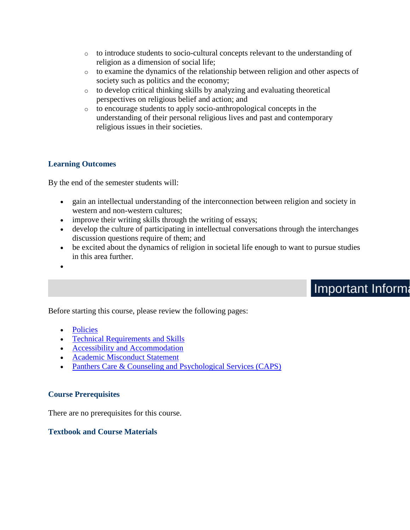- o to introduce students to socio-cultural concepts relevant to the understanding of religion as a dimension of social life;
- o to examine the dynamics of the relationship between religion and other aspects of society such as politics and the economy;
- o to develop critical thinking skills by analyzing and evaluating theoretical perspectives on religious belief and action; and
- o to encourage students to apply socio-anthropological concepts in the understanding of their personal religious lives and past and contemporary religious issues in their societies.

### **Learning Outcomes**

By the end of the semester students will:

- gain an intellectual understanding of the interconnection between religion and society in western and non-western cultures;
- improve their writing skills through the writing of essays;
- develop the culture of participating in intellectual conversations through the interchanges discussion questions require of them; and
- be excited about the dynamics of religion in societal life enough to want to pursue studies in this area further.
- •

# **Important Informa**

Before starting this course, please review the following pages:

- [Policies](https://fiu.instructure.com/courses/22357/pages/policies)
- [Technical Requirements and Skills](https://fiu.instructure.com/courses/22357/pages/technical-requirements-and-skills)
- [Accessibility and Accommodation](https://fiu.instructure.com/courses/22357/pages/accessibility-and-accommodation)
- [Academic Misconduct Statement](https://fiu.instructure.com/courses/22357/pages/academic-misconduct-statement)
- [Panthers Care & Counseling and Psychological Services \(CAPS\)](https://fiu.instructure.com/courses/22357/pages/panthers-cafe-and-counseling-and-psychological-services-caps)

### **Course Prerequisites**

There are no prerequisites for this course.

### **Textbook and Course Materials**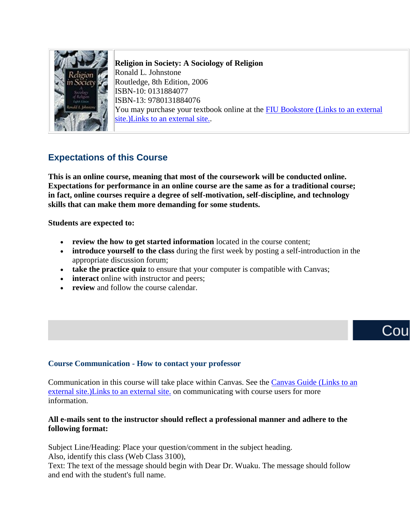

**Religion in Society: A Sociology of Religion** Ronald L. Johnstone Routledge, 8th Edition, 2006 ISBN-10: 0131884077 ISBN-13: 9780131884076 You may purchase your textbook online at the **FIU Bookstore (Links to an external** [site.\)Links to an external site..](http://fiu.bncollege.com/webapp/wcs/stores/servlet/BNCBHomePage?storeId=21551&catalogId=10001)

## **Expectations of this Course**

**This is an online course, meaning that most of the coursework will be conducted online. Expectations for performance in an online course are the same as for a traditional course; in fact, online courses require a degree of self-motivation, self-discipline, and technology skills that can make them more demanding for some students.**

**Students are expected to:**

- **review the how to get started information** located in the course content;
- **introduce yourself to the class** during the first week by posting a self-introduction in the appropriate discussion forum;
- **take the practice quiz** to ensure that your computer is compatible with Canvas;
- **interact** online with instructor and peers;
- **review** and follow the course calendar.

# Cou

### **Course Communication - How to contact your professor**

Communication in this course will take place within Canvas. See the [Canvas Guide](https://community.canvaslms.com/docs/DOC-10574-4212710325) (Links to an [external site.\)Links to an external site.](https://community.canvaslms.com/docs/DOC-10574-4212710325) on communicating with course users for more information.

### **All e-mails sent to the instructor should reflect a professional manner and adhere to the following format:**

Subject Line/Heading: Place your question/comment in the subject heading.

Also, identify this class (Web Class 3100),

Text: The text of the message should begin with Dear Dr. Wuaku. The message should follow and end with the student's full name.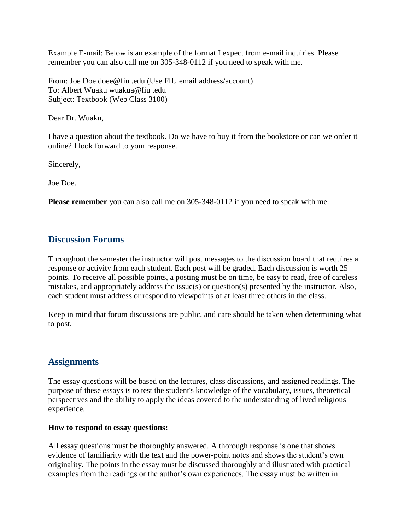Example E-mail: Below is an example of the format I expect from e-mail inquiries. Please remember you can also call me on 305-348-0112 if you need to speak with me.

From: Joe Doe doee@fiu .edu (Use FIU email address/account) To: Albert Wuaku wuakua@fiu .edu Subject: Textbook (Web Class 3100)

Dear Dr. Wuaku,

I have a question about the textbook. Do we have to buy it from the bookstore or can we order it online? I look forward to your response.

Sincerely,

Joe Doe.

**Please remember** you can also call me on 305-348-0112 if you need to speak with me.

### **Discussion Forums**

Throughout the semester the instructor will post messages to the discussion board that requires a response or activity from each student. Each post will be graded. Each discussion is worth 25 points. To receive all possible points, a posting must be on time, be easy to read, free of careless mistakes, and appropriately address the issue(s) or question(s) presented by the instructor. Also, each student must address or respond to viewpoints of at least three others in the class.

Keep in mind that forum discussions are public, and care should be taken when determining what to post.

### **Assignments**

The essay questions will be based on the lectures, class discussions, and assigned readings. The purpose of these essays is to test the student's knowledge of the vocabulary, issues, theoretical perspectives and the ability to apply the ideas covered to the understanding of lived religious experience.

#### **How to respond to essay questions:**

All essay questions must be thoroughly answered. A thorough response is one that shows evidence of familiarity with the text and the power-point notes and shows the student's own originality. The points in the essay must be discussed thoroughly and illustrated with practical examples from the readings or the author's own experiences. The essay must be written in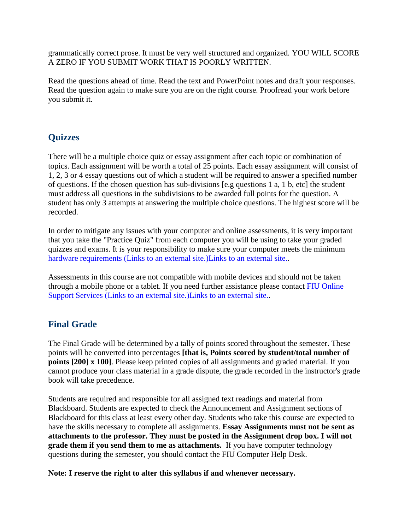grammatically correct prose. It must be very well structured and organized. YOU WILL SCORE A ZERO IF YOU SUBMIT WORK THAT IS POORLY WRITTEN.

Read the questions ahead of time. Read the text and PowerPoint notes and draft your responses. Read the question again to make sure you are on the right course. Proofread your work before you submit it.

## **Quizzes**

There will be a multiple choice quiz or essay assignment after each topic or combination of topics. Each assignment will be worth a total of 25 points. Each essay assignment will consist of 1, 2, 3 or 4 essay questions out of which a student will be required to answer a specified number of questions. If the chosen question has sub-divisions [e.g questions 1 a, 1 b, etc] the student must address all questions in the subdivisions to be awarded full points for the question. A student has only 3 attempts at answering the multiple choice questions. The highest score will be recorded.

In order to mitigate any issues with your computer and online assessments, it is very important that you take the "Practice Quiz" from each computer you will be using to take your graded quizzes and exams. It is your responsibility to make sure your computer meets the minimum hardware requirements [\(Links to an external site.\)Links to an external site..](http://www.fiuonline.com/how-it-works/what-is-online-learning/whats-required.php)

Assessments in this course are not compatible with mobile devices and should not be taken through a mobile phone or a tablet. If you need further assistance please contact [FIU Online](http://lmshelp.fiu.edu/)  Support Services [\(Links to an external site.\)Links to an external site..](http://lmshelp.fiu.edu/)

### **Final Grade**

The Final Grade will be determined by a tally of points scored throughout the semester. These points will be converted into percentages **[that is, Points scored by student/total number of points [200] x 100]**. Please keep printed copies of all assignments and graded material. If you cannot produce your class material in a grade dispute, the grade recorded in the instructor's grade book will take precedence.

Students are required and responsible for all assigned text readings and material from Blackboard. Students are expected to check the Announcement and Assignment sections of Blackboard for this class at least every other day. Students who take this course are expected to have the skills necessary to complete all assignments. **Essay Assignments must not be sent as attachments to the professor. They must be posted in the Assignment drop box. I will not grade them if you send them to me as attachments.** If you have computer technology questions during the semester, you should contact the FIU Computer Help Desk.

**Note: I reserve the right to alter this syllabus if and whenever necessary.**